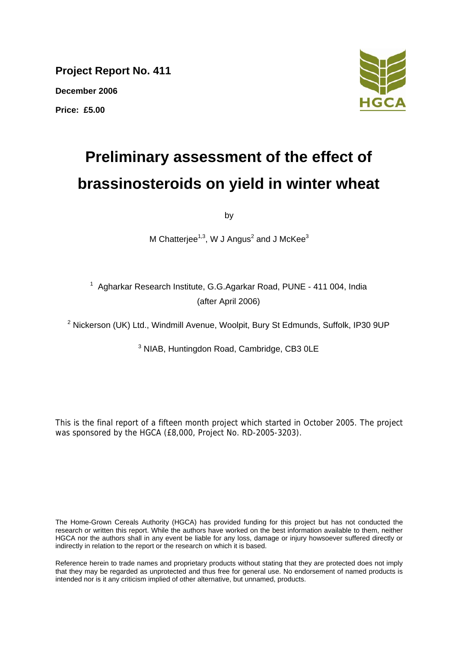**Project Report No. 411** 

**December 2006**

**Price: £5.00** 



# **Preliminary assessment of the effect of brassinosteroids on yield in winter wheat**

by

M Chatterjee<sup>1,3</sup>, W J Angus<sup>2</sup> and J McKee<sup>3</sup>

<sup>1</sup> Agharkar Research Institute, G.G.Agarkar Road, PUNE - 411 004, India (after April 2006)

<sup>2</sup> Nickerson (UK) Ltd., Windmill Avenue, Woolpit, Bury St Edmunds, Suffolk, IP30 9UP

<sup>3</sup> NIAB, Huntingdon Road, Cambridge, CB3 0LE

This is the final report of a fifteen month project which started in October 2005. The project was sponsored by the HGCA (£8,000, Project No. RD-2005-3203).

The Home-Grown Cereals Authority (HGCA) has provided funding for this project but has not conducted the research or written this report. While the authors have worked on the best information available to them, neither HGCA nor the authors shall in any event be liable for any loss, damage or injury howsoever suffered directly or indirectly in relation to the report or the research on which it is based.

Reference herein to trade names and proprietary products without stating that they are protected does not imply that they may be regarded as unprotected and thus free for general use. No endorsement of named products is intended nor is it any criticism implied of other alternative, but unnamed, products.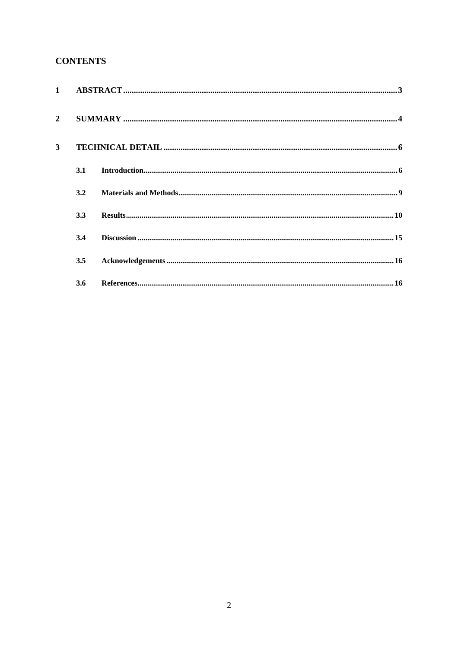## **CONTENTS**

| $1 \quad$      |     |  |
|----------------|-----|--|
| $\overline{2}$ |     |  |
| 3              |     |  |
|                | 3.1 |  |
|                | 3.2 |  |
|                | 3.3 |  |
|                | 3.4 |  |
|                | 3.5 |  |
|                | 3.6 |  |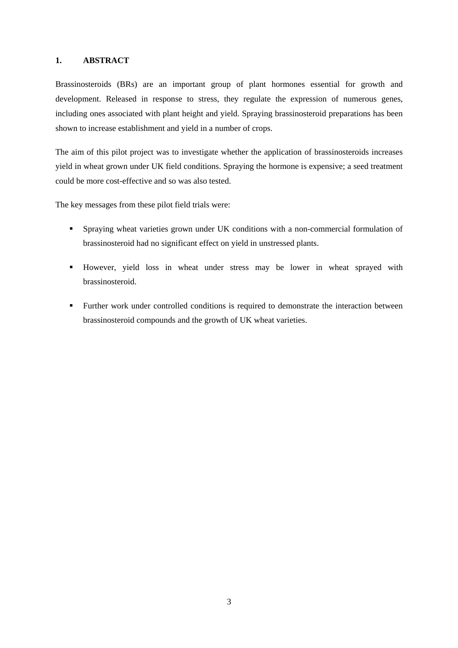## <span id="page-2-0"></span>**1. ABSTRACT**

Brassinosteroids (BRs) are an important group of plant hormones essential for growth and development. Released in response to stress, they regulate the expression of numerous genes, including ones associated with plant height and yield. Spraying brassinosteroid preparations has been shown to increase establishment and yield in a number of crops.

The aim of this pilot project was to investigate whether the application of brassinosteroids increases yield in wheat grown under UK field conditions. Spraying the hormone is expensive; a seed treatment could be more cost-effective and so was also tested.

The key messages from these pilot field trials were:

- Spraying wheat varieties grown under UK conditions with a non-commercial formulation of brassinosteroid had no significant effect on yield in unstressed plants.
- However, yield loss in wheat under stress may be lower in wheat sprayed with brassinosteroid.
- Further work under controlled conditions is required to demonstrate the interaction between brassinosteroid compounds and the growth of UK wheat varieties.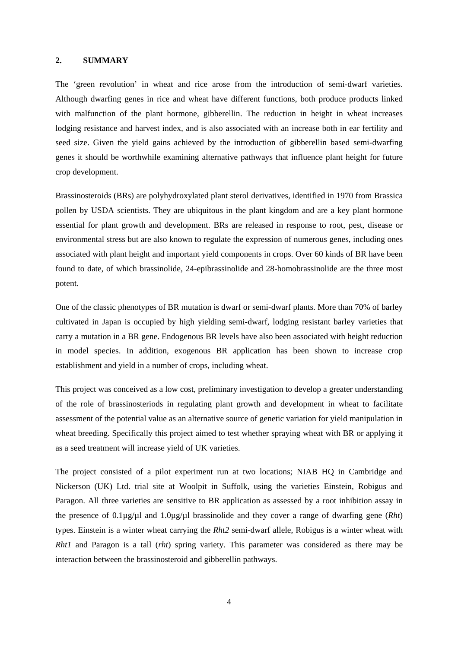### <span id="page-3-0"></span>**2. SUMMARY**

The 'green revolution' in wheat and rice arose from the introduction of semi-dwarf varieties. Although dwarfing genes in rice and wheat have different functions, both produce products linked with malfunction of the plant hormone, gibberellin. The reduction in height in wheat increases lodging resistance and harvest index, and is also associated with an increase both in ear fertility and seed size. Given the yield gains achieved by the introduction of gibberellin based semi-dwarfing genes it should be worthwhile examining alternative pathways that influence plant height for future crop development.

Brassinosteroids (BRs) are polyhydroxylated plant sterol derivatives, identified in 1970 from Brassica pollen by USDA scientists. They are ubiquitous in the plant kingdom and are a key plant hormone essential for plant growth and development. BRs are released in response to root, pest, disease or environmental stress but are also known to regulate the expression of numerous genes, including ones associated with plant height and important yield components in crops. Over 60 kinds of BR have been found to date, of which brassinolide, 24-epibrassinolide and 28-homobrassinolide are the three most potent.

One of the classic phenotypes of BR mutation is dwarf or semi-dwarf plants. More than 70% of barley cultivated in Japan is occupied by high yielding semi-dwarf, lodging resistant barley varieties that carry a mutation in a BR gene. Endogenous BR levels have also been associated with height reduction in model species. In addition, exogenous BR application has been shown to increase crop establishment and yield in a number of crops, including wheat.

This project was conceived as a low cost, preliminary investigation to develop a greater understanding of the role of brassinosteriods in regulating plant growth and development in wheat to facilitate assessment of the potential value as an alternative source of genetic variation for yield manipulation in wheat breeding. Specifically this project aimed to test whether spraying wheat with BR or applying it as a seed treatment will increase yield of UK varieties.

The project consisted of a pilot experiment run at two locations; NIAB HQ in Cambridge and Nickerson (UK) Ltd. trial site at Woolpit in Suffolk, using the varieties Einstein, Robigus and Paragon. All three varieties are sensitive to BR application as assessed by a root inhibition assay in the presence of 0.1µg/µl and 1.0µg/µl brassinolide and they cover a range of dwarfing gene (*Rht*) types. Einstein is a winter wheat carrying the *Rht2* semi-dwarf allele, Robigus is a winter wheat with *Rht1* and Paragon is a tall (*rht*) spring variety. This parameter was considered as there may be interaction between the brassinosteroid and gibberellin pathways.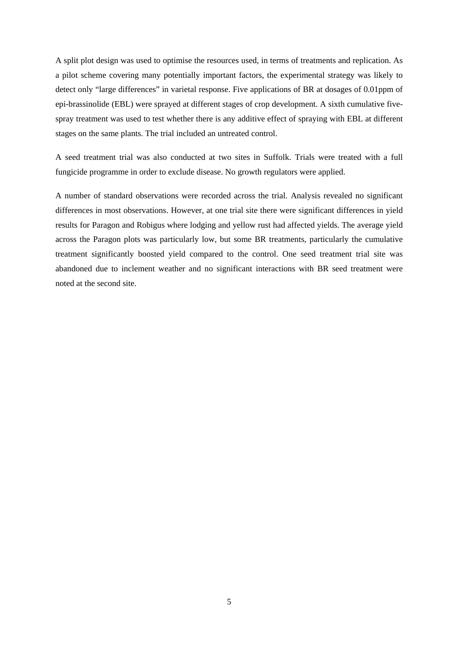A split plot design was used to optimise the resources used, in terms of treatments and replication. As a pilot scheme covering many potentially important factors, the experimental strategy was likely to detect only "large differences" in varietal response. Five applications of BR at dosages of 0.01ppm of epi-brassinolide (EBL) were sprayed at different stages of crop development. A sixth cumulative fivespray treatment was used to test whether there is any additive effect of spraying with EBL at different stages on the same plants. The trial included an untreated control.

A seed treatment trial was also conducted at two sites in Suffolk. Trials were treated with a full fungicide programme in order to exclude disease. No growth regulators were applied.

A number of standard observations were recorded across the trial. Analysis revealed no significant differences in most observations. However, at one trial site there were significant differences in yield results for Paragon and Robigus where lodging and yellow rust had affected yields. The average yield across the Paragon plots was particularly low, but some BR treatments, particularly the cumulative treatment significantly boosted yield compared to the control. One seed treatment trial site was abandoned due to inclement weather and no significant interactions with BR seed treatment were noted at the second site.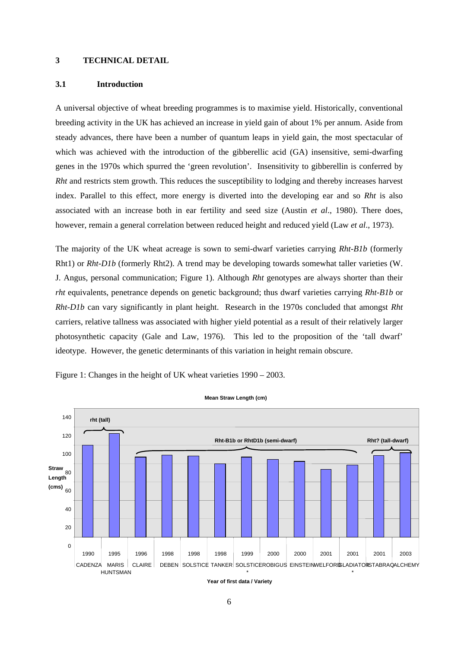## <span id="page-5-0"></span>**3 TECHNICAL DETAIL**

### **3.1 Introduction**

A universal objective of wheat breeding programmes is to maximise yield. Historically, conventional breeding activity in the UK has achieved an increase in yield gain of about 1% per annum. Aside from steady advances, there have been a number of quantum leaps in yield gain, the most spectacular of which was achieved with the introduction of the gibberellic acid (GA) insensitive, semi-dwarfing genes in the 1970s which spurred the 'green revolution'. Insensitivity to gibberellin is conferred by *Rht* and restricts stem growth. This reduces the susceptibility to lodging and thereby increases harvest index. Parallel to this effect, more energy is diverted into the developing ear and so *Rht* is also associated with an increase both in ear fertility and seed size (Austin *et al*., 1980). There does, however, remain a general correlation between reduced height and reduced yield (Law *et al*., 1973).

The majority of the UK wheat acreage is sown to semi-dwarf varieties carrying *Rht-B1b* (formerly Rht1) or *Rht-D1b* (formerly Rht2). A trend may be developing towards somewhat taller varieties (W. J. Angus, personal communication; Figure 1). Although *Rht* genotypes are always shorter than their *rht* equivalents, penetrance depends on genetic background; thus dwarf varieties carrying *Rht-B1b* or *Rht-D1b* can vary significantly in plant height. Research in the 1970s concluded that amongst *Rht* carriers, relative tallness was associated with higher yield potential as a result of their relatively larger photosynthetic capacity (Gale and Law, 1976). This led to the proposition of the 'tall dwarf' ideotype. However, the genetic determinants of this variation in height remain obscure.

Figure 1: Changes in the height of UK wheat varieties 1990 – 2003.



**Mean Straw Length (cm)**

6

**Year of first data / Variety**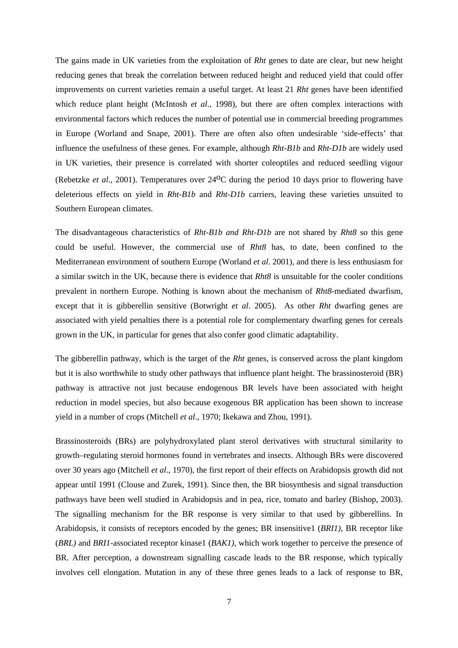The gains made in UK varieties from the exploitation of *Rht* genes to date are clear, but new height reducing genes that break the correlation between reduced height and reduced yield that could offer improvements on current varieties remain a useful target. At least 21 *Rht* genes have been identified which reduce plant height (McIntosh *et al*., 1998), but there are often complex interactions with environmental factors which reduces the number of potential use in commercial breeding programmes in Europe (Worland and Snape, 2001). There are often also often undesirable 'side-effects' that influence the usefulness of these genes. For example, although *Rht-B1b* and *Rht-D1b* are widely used in UK varieties, their presence is correlated with shorter coleoptiles and reduced seedling vigour (Rebetzke *et al*., 2001). Temperatures over 24oC during the period 10 days prior to flowering have deleterious effects on yield in *Rht-B1b* and *Rht-D1b* carriers, leaving these varieties unsuited to Southern European climates.

The disadvantageous characteristics of *Rht-B1b and Rht-D1b* are not shared by *Rht8* so this gene could be useful. However, the commercial use of *Rht8* has, to date, been confined to the Mediterranean environment of southern Europe (Worland *et al*. 2001), and there is less enthusiasm for a similar switch in the UK, because there is evidence that *Rht8* is unsuitable for the cooler conditions prevalent in northern Europe. Nothing is known about the mechanism of *Rht8*-mediated dwarfism, except that it is gibberellin sensitive (Botwright *et al*. 2005). As other *Rht* dwarfing genes are associated with yield penalties there is a potential role for complementary dwarfing genes for cereals grown in the UK, in particular for genes that also confer good climatic adaptability.

The gibberellin pathway, which is the target of the *Rht* genes, is conserved across the plant kingdom but it is also worthwhile to study other pathways that influence plant height. The brassinosteroid (BR) pathway is attractive not just because endogenous BR levels have been associated with height reduction in model species, but also because exogenous BR application has been shown to increase yield in a number of crops (Mitchell *et al*., 1970; Ikekawa and Zhou, 1991).

Brassinosteroids (BRs) are polyhydroxylated plant sterol derivatives with structural similarity to growth–regulating steroid hormones found in vertebrates and insects. Although BRs were discovered over 30 years ago (Mitchell *et al*., 1970), the first report of their effects on Arabidopsis growth did not appear until 1991 (Clouse and Zurek, 1991). Since then, the BR biosynthesis and signal transduction pathways have been well studied in Arabidopsis and in pea, rice, tomato and barley (Bishop, 2003). The signalling mechanism for the BR response is very similar to that used by gibberellins. In Arabidopsis, it consists of receptors encoded by the genes; BR insensitive1 (*BRI1)*, BR receptor like (*BRL)* and *BRI1*-associated receptor kinase1 (*BAK1),* which work together to perceive the presence of BR. After perception, a downstream signalling cascade leads to the BR response, which typically involves cell elongation. Mutation in any of these three genes leads to a lack of response to BR,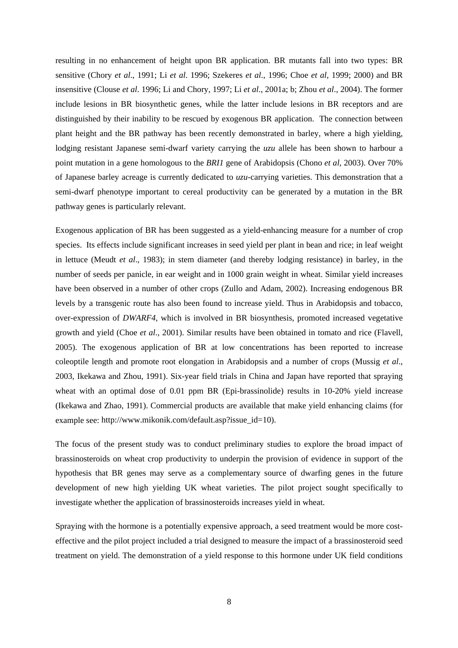resulting in no enhancement of height upon BR application. BR mutants fall into two types: BR sensitive (Chory *et al*., 1991; Li *et al*. 1996; Szekeres *et al*., 1996; Choe *et al*, 1999; 2000) and BR insensitive (Clouse *et al*. 1996; Li and Chory, 1997; Li *et al*., 2001a; b; Zhou *et al*., 2004). The former include lesions in BR biosynthetic genes, while the latter include lesions in BR receptors and are distinguished by their inability to be rescued by exogenous BR application. The connection between plant height and the BR pathway has been recently demonstrated in barley, where a high yielding, lodging resistant Japanese semi-dwarf variety carrying the *uzu* allele has been shown to harbour a point mutation in a gene homologous to the *BRI1* gene of Arabidopsis (Chono *et al*, 2003). Over 70% of Japanese barley acreage is currently dedicated to *uzu*-carrying varieties. This demonstration that a semi-dwarf phenotype important to cereal productivity can be generated by a mutation in the BR pathway genes is particularly relevant.

Exogenous application of BR has been suggested as a yield-enhancing measure for a number of crop species. Its effects include significant increases in seed yield per plant in bean and rice; in leaf weight in lettuce (Meudt *et al*., 1983); in stem diameter (and thereby lodging resistance) in barley, in the number of seeds per panicle, in ear weight and in 1000 grain weight in wheat. Similar yield increases have been observed in a number of other crops (Zullo and Adam, 2002). Increasing endogenous BR levels by a transgenic route has also been found to increase yield. Thus in Arabidopsis and tobacco, over-expression of *DWARF4*, which is involved in BR biosynthesis, promoted increased vegetative growth and yield (Choe *et al*., 2001). Similar results have been obtained in tomato and rice (Flavell, 2005). The exogenous application of BR at low concentrations has been reported to increase coleoptile length and promote root elongation in Arabidopsis and a number of crops (Mussig *et al*., 2003, Ikekawa and Zhou, 1991). Six-year field trials in China and Japan have reported that spraying wheat with an optimal dose of 0.01 ppm BR (Epi-brassinolide) results in 10-20% yield increase (Ikekawa and Zhao, 1991). Commercial products are available that make yield enhancing claims (for example see: [http://www.mikonik.com/default.asp?issue\\_id=10](http://www.mikonik.com/default.asp?issue_id=10)).

The focus of the present study was to conduct preliminary studies to explore the broad impact of brassinosteroids on wheat crop productivity to underpin the provision of evidence in support of the hypothesis that BR genes may serve as a complementary source of dwarfing genes in the future development of new high yielding UK wheat varieties. The pilot project sought specifically to investigate whether the application of brassinosteroids increases yield in wheat.

Spraying with the hormone is a potentially expensive approach, a seed treatment would be more costeffective and the pilot project included a trial designed to measure the impact of a brassinosteroid seed treatment on yield. The demonstration of a yield response to this hormone under UK field conditions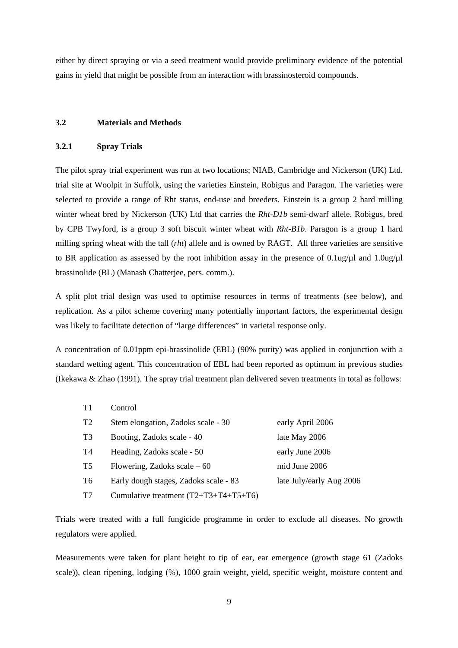<span id="page-8-0"></span>either by direct spraying or via a seed treatment would provide preliminary evidence of the potential gains in yield that might be possible from an interaction with brassinosteroid compounds.

## **3.2 Materials and Methods**

## **3.2.1 Spray Trials**

The pilot spray trial experiment was run at two locations; NIAB, Cambridge and Nickerson (UK) Ltd. trial site at Woolpit in Suffolk, using the varieties Einstein, Robigus and Paragon. The varieties were selected to provide a range of Rht status, end-use and breeders. Einstein is a group 2 hard milling winter wheat bred by Nickerson (UK) Ltd that carries the *Rht-D1b* semi-dwarf allele. Robigus, bred by CPB Twyford, is a group 3 soft biscuit winter wheat with *Rht-B1b*. Paragon is a group 1 hard milling spring wheat with the tall (*rht*) allele and is owned by RAGT. All three varieties are sensitive to BR application as assessed by the root inhibition assay in the presence of  $0.1$ ug/ $\mu$ l and  $1.0$ ug/ $\mu$ l brassinolide (BL) (Manash Chatterjee, pers. comm.).

A split plot trial design was used to optimise resources in terms of treatments (see below), and replication. As a pilot scheme covering many potentially important factors, the experimental design was likely to facilitate detection of "large differences" in varietal response only.

A concentration of 0.01ppm epi-brassinolide (EBL) (90% purity) was applied in conjunction with a standard wetting agent. This concentration of EBL had been reported as optimum in previous studies (Ikekawa & Zhao (1991). The spray trial treatment plan delivered seven treatments in total as follows:

| T1             | Control                               |                          |
|----------------|---------------------------------------|--------------------------|
| T <sub>2</sub> | Stem elongation, Zadoks scale - 30    | early April 2006         |
| T <sub>3</sub> | Booting, Zadoks scale - 40            | late May 2006            |
| T4             | Heading, Zadoks scale - 50            | early June 2006          |
| T5             | Flowering, Zadoks scale $-60$         | mid June 2006            |
| T6             | Early dough stages, Zadoks scale - 83 | late July/early Aug 2006 |
| T7             | Cumulative treatment (T2+T3+T4+T5+T6) |                          |

Trials were treated with a full fungicide programme in order to exclude all diseases. No growth regulators were applied.

Measurements were taken for plant height to tip of ear, ear emergence (growth stage 61 (Zadoks scale)), clean ripening, lodging (%), 1000 grain weight, yield, specific weight, moisture content and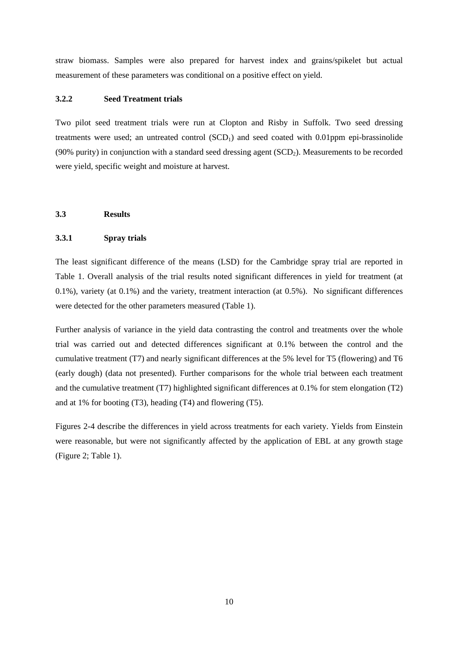<span id="page-9-0"></span>straw biomass. Samples were also prepared for harvest index and grains/spikelet but actual measurement of these parameters was conditional on a positive effect on yield.

## **3.2.2 Seed Treatment trials**

Two pilot seed treatment trials were run at Clopton and Risby in Suffolk. Two seed dressing treatments were used; an untreated control  $(SCD<sub>1</sub>)$  and seed coated with 0.01ppm epi-brassinolide (90% purity) in conjunction with a standard seed dressing agent (SCD2). Measurements to be recorded were yield, specific weight and moisture at harvest.

## **3.3 Results**

## **3.3.1 Spray trials**

The least significant difference of the means (LSD) for the Cambridge spray trial are reported in Table 1. Overall analysis of the trial results noted significant differences in yield for treatment (at 0.1%), variety (at 0.1%) and the variety, treatment interaction (at 0.5%). No significant differences were detected for the other parameters measured (Table 1).

Further analysis of variance in the yield data contrasting the control and treatments over the whole trial was carried out and detected differences significant at 0.1% between the control and the cumulative treatment (T7) and nearly significant differences at the 5% level for T5 (flowering) and T6 (early dough) (data not presented). Further comparisons for the whole trial between each treatment and the cumulative treatment (T7) highlighted significant differences at 0.1% for stem elongation (T2) and at 1% for booting (T3), heading (T4) and flowering (T5).

Figures 2-4 describe the differences in yield across treatments for each variety. Yields from Einstein were reasonable, but were not significantly affected by the application of EBL at any growth stage (Figure 2; Table 1).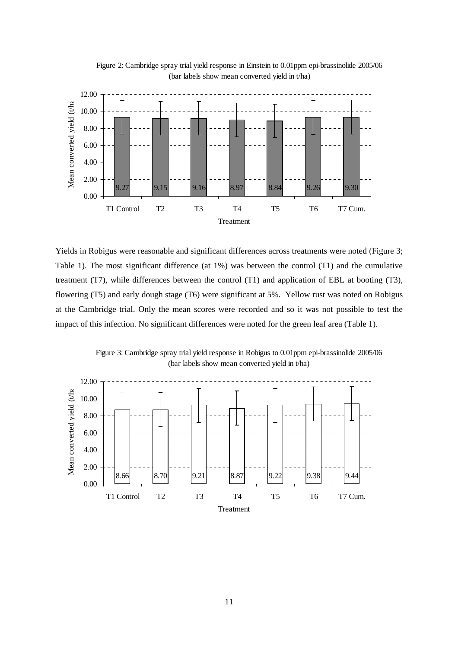

Figure 2: Cambridge spray trial yield response in Einstein to 0.01ppm epi-brassinolide 2005/06 (bar labels show mean converted yield in t/ha)

Yields in Robigus were reasonable and significant differences across treatments were noted (Figure 3; Table 1). The most significant difference (at 1%) was between the control (T1) and the cumulative treatment (T7), while differences between the control (T1) and application of EBL at booting (T3), flowering (T5) and early dough stage (T6) were significant at 5%. Yellow rust was noted on Robigus at the Cambridge trial. Only the mean scores were recorded and so it was not possible to test the impact of this infection. No significant differences were noted for the green leaf area (Table 1).

Figure 3: Cambridge spray trial yield response in Robigus to 0.01ppm epi-brassinolide 2005/06 (bar labels show mean converted yield in t/ha)

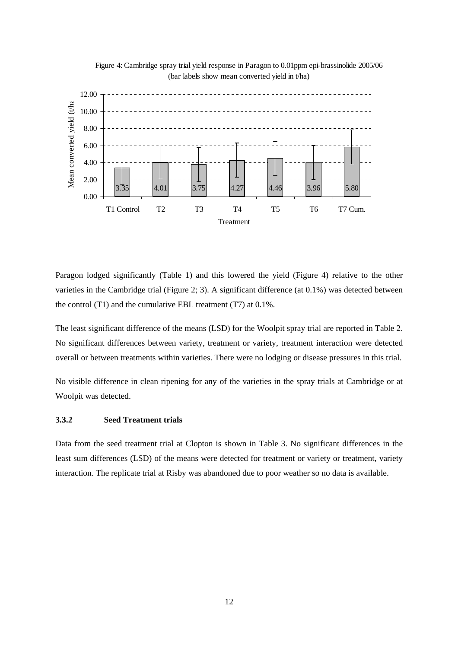



Paragon lodged significantly (Table 1) and this lowered the yield (Figure 4) relative to the other varieties in the Cambridge trial (Figure 2; 3). A significant difference (at 0.1%) was detected between the control (T1) and the cumulative EBL treatment (T7) at 0.1%.

The least significant difference of the means (LSD) for the Woolpit spray trial are reported in Table 2. No significant differences between variety, treatment or variety, treatment interaction were detected overall or between treatments within varieties. There were no lodging or disease pressures in this trial.

No visible difference in clean ripening for any of the varieties in the spray trials at Cambridge or at Woolpit was detected.

## **3.3.2 Seed Treatment trials**

Data from the seed treatment trial at Clopton is shown in Table 3. No significant differences in the least sum differences (LSD) of the means were detected for treatment or variety or treatment, variety interaction. The replicate trial at Risby was abandoned due to poor weather so no data is available.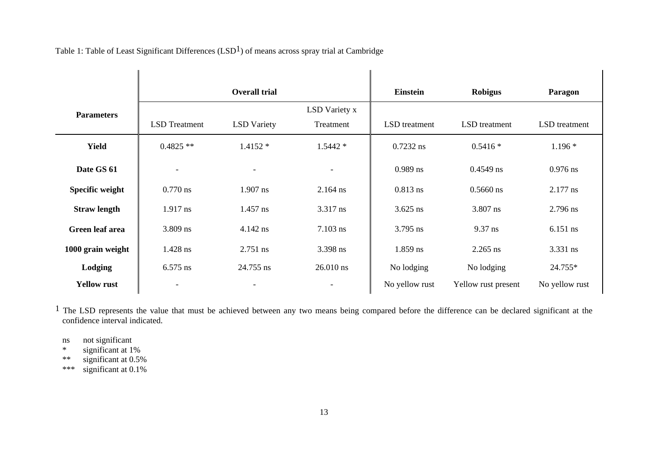|                     |                          | <b>Overall trial</b>     |                            | <b>Einstein</b> | <b>Robigus</b>      | Paragon              |
|---------------------|--------------------------|--------------------------|----------------------------|-----------------|---------------------|----------------------|
| <b>Parameters</b>   | <b>LSD</b> Treatment     | <b>LSD</b> Variety       | LSD Variety x<br>Treatment | LSD treatment   | LSD treatment       | <b>LSD</b> treatment |
|                     |                          |                          |                            |                 |                     |                      |
| <b>Yield</b>        | $0.4825**$               | $1.4152*$                | $1.5442*$                  | $0.7232$ ns     | $0.5416*$           | $1.196*$             |
| Date GS 61          | $\overline{\phantom{a}}$ | $\overline{\phantom{a}}$ | $\overline{\phantom{a}}$   | $0.989$ ns      | $0.4549$ ns         | $0.976$ ns           |
| Specific weight     | $0.770$ ns               | $1.907$ ns               | $2.164$ ns                 | $0.813$ ns      | $0.5660$ ns         | $2.177$ ns           |
| <b>Straw length</b> | $1.917$ ns               | $1.457$ ns               | 3.317 ns                   | $3.625$ ns      | 3.807 ns            | 2.796 ns             |
| Green leaf area     | 3.809 ns                 | $4.142$ ns               | $7.103$ ns                 | $3.795$ ns      | 9.37 ns             | $6.151$ ns           |
| 1000 grain weight   | 1.428 ns                 | 2.751 ns                 | 3.398 ns                   | 1.859 ns        | $2.265$ ns          | 3.331 ns             |
| Lodging             | $6.575$ ns               | 24.755 ns                | $26.010$ ns                | No lodging      | No lodging          | 24.755*              |
| <b>Yellow rust</b>  | $\overline{\phantom{a}}$ |                          | $\overline{\phantom{a}}$   | No yellow rust  | Yellow rust present | No yellow rust       |

Table 1: Table of Least Significant Differences  $(LSD<sup>1</sup>)$  of means across spray trial at Cambridge

<sup>1</sup> The LSD represents the value that must be achieved between any two means being compared before the difference can be declared significant at the confidence interval indicated.

ns not significant<br>\* significant at 1

\* significant at  $1\%$ <br>\*\* significant at 0.5%

significant at 0.5%

\*\*\* significant at 0.1%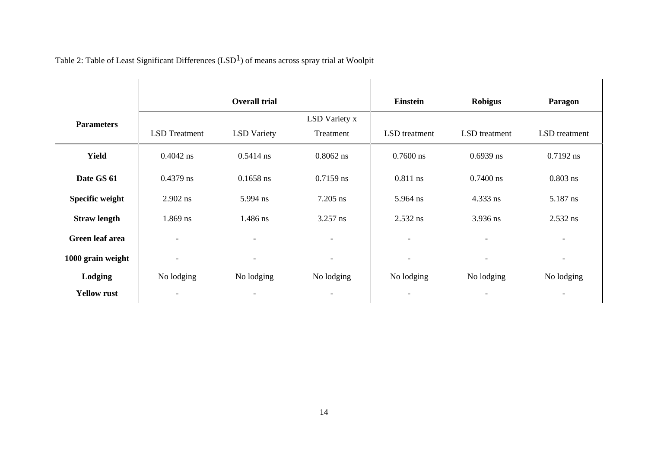|                        |                          | <b>Overall trial</b>     |                          | <b>Einstein</b>          | <b>Robigus</b>           | <b>Paragon</b>           |
|------------------------|--------------------------|--------------------------|--------------------------|--------------------------|--------------------------|--------------------------|
| <b>Parameters</b>      |                          |                          | LSD Variety x            |                          |                          |                          |
|                        | <b>LSD</b> Treatment     | <b>LSD</b> Variety       | Treatment                | LSD treatment            | LSD treatment            | LSD treatment            |
| <b>Yield</b>           | $0.4042$ ns              | $0.5414$ ns              | $0.8062$ ns              | $0.7600$ ns              | $0.6939$ ns              | $0.7192$ ns              |
| Date GS 61             | $0.4379$ ns              | $0.1658$ ns              | $0.7159$ ns              | $0.811$ ns               | $0.7400$ ns              | $0.803$ ns               |
| Specific weight        | 2.902 ns                 | 5.994 ns                 | $7.205$ ns               | 5.964 ns                 | 4.333 ns                 | 5.187 ns                 |
| <b>Straw length</b>    | $1.869$ ns               | 1.486 ns                 | $3.257$ ns               | 2.532 ns                 | 3.936 ns                 | 2.532 ns                 |
| <b>Green leaf area</b> | $\overline{\phantom{a}}$ | $\overline{\phantom{a}}$ | $\overline{\phantom{a}}$ | $\overline{\phantom{a}}$ | $\overline{\phantom{a}}$ | $\overline{\phantom{a}}$ |
| 1000 grain weight      | $\overline{\phantom{a}}$ | $\overline{\phantom{a}}$ | $\overline{\phantom{a}}$ | $\overline{\phantom{a}}$ | $\overline{\phantom{a}}$ | $\overline{\phantom{a}}$ |
| Lodging                | No lodging               | No lodging               | No lodging               | No lodging               | No lodging               | No lodging               |
| <b>Yellow rust</b>     |                          |                          |                          |                          |                          |                          |

Table 2: Table of Least Significant Differences (LSD<sup>1</sup>) of means across spray trial at Woolpit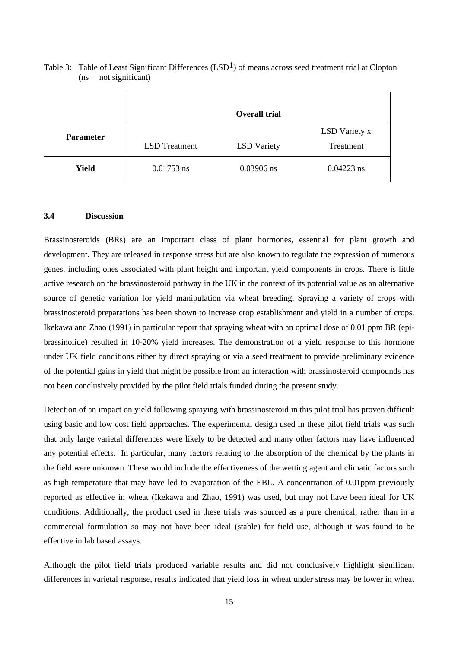|                  |                      | <b>Overall trial</b> |                            |
|------------------|----------------------|----------------------|----------------------------|
| <b>Parameter</b> | <b>LSD</b> Treatment | <b>LSD</b> Variety   | LSD Variety x<br>Treatment |
| <b>Yield</b>     | $0.01753$ ns         | $0.03906$ ns         | $0.04223$ ns               |

<span id="page-14-0"></span>Table 3: Table of Least Significant Differences (LSD<sup>1</sup>) of means across seed treatment trial at Clopton  $(ns = not significant)$ 

#### **3.4 Discussion**

Brassinosteroids (BRs) are an important class of plant hormones, essential for plant growth and development. They are released in response stress but are also known to regulate the expression of numerous genes, including ones associated with plant height and important yield components in crops. There is little active research on the brassinosteroid pathway in the UK in the context of its potential value as an alternative source of genetic variation for yield manipulation via wheat breeding. Spraying a variety of crops with brassinosteroid preparations has been shown to increase crop establishment and yield in a number of crops. Ikekawa and Zhao (1991) in particular report that spraying wheat with an optimal dose of 0.01 ppm BR (epibrassinolide) resulted in 10-20% yield increases. The demonstration of a yield response to this hormone under UK field conditions either by direct spraying or via a seed treatment to provide preliminary evidence of the potential gains in yield that might be possible from an interaction with brassinosteroid compounds has not been conclusively provided by the pilot field trials funded during the present study.

Detection of an impact on yield following spraying with brassinosteroid in this pilot trial has proven difficult using basic and low cost field approaches. The experimental design used in these pilot field trials was such that only large varietal differences were likely to be detected and many other factors may have influenced any potential effects. In particular, many factors relating to the absorption of the chemical by the plants in the field were unknown. These would include the effectiveness of the wetting agent and climatic factors such as high temperature that may have led to evaporation of the EBL. A concentration of 0.01ppm previously reported as effective in wheat (Ikekawa and Zhao, 1991) was used, but may not have been ideal for UK conditions. Additionally, the product used in these trials was sourced as a pure chemical, rather than in a commercial formulation so may not have been ideal (stable) for field use, although it was found to be effective in lab based assays.

Although the pilot field trials produced variable results and did not conclusively highlight significant differences in varietal response, results indicated that yield loss in wheat under stress may be lower in wheat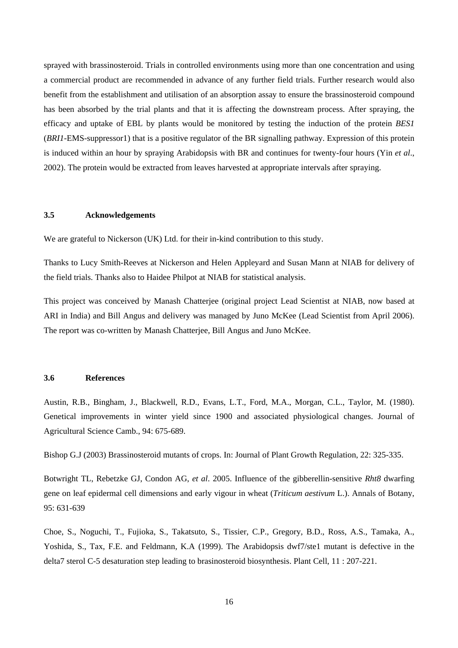<span id="page-15-0"></span>sprayed with brassinosteroid. Trials in controlled environments using more than one concentration and using a commercial product are recommended in advance of any further field trials. Further research would also benefit from the establishment and utilisation of an absorption assay to ensure the brassinosteroid compound has been absorbed by the trial plants and that it is affecting the downstream process. After spraying, the efficacy and uptake of EBL by plants would be monitored by testing the induction of the protein *BES1*  (*BRI1-*EMS-suppressor1) that is a positive regulator of the BR signalling pathway. Expression of this protein is induced within an hour by spraying Arabidopsis with BR and continues for twenty-four hours (Yin et al., 2002). The protein would be extracted from leaves harvested at appropriate intervals after spraying.

## **ements 3.5 Acknowledg**

We are grateful to Nickerson (UK) Ltd. for their in-kind contribution to this study.

Thanks to Lucy Smith-Reeves at Nickerson and Helen Appleyard and Susan Mann at NIAB for delivery of the field trials. Thanks also to Haidee Philpot at NIAB for statistical analysis.

This project was conceived by Manash Chatterjee (original project Lead Scientist at NIAB, now based at ARI in India) and Bill Angus and delivery was managed by Juno McKee (Lead Scientist from April 2006). The report was co-written by Manash Chatterjee, Bill Angus and Juno McKee.

### **3.6 References**

Austin, R.B., Bingham, J., Blackwell, R.D., Evans, L.T., Ford, M.A., Morgan, C.L., Taylor, M. (1980). Genetical improvements in winter yield since 1900 and associated physiological changes. Journal of Agricultural Science Camb., 94: 675-689.

Bishop G.J (2003) Brassinosteroid mutants of crops. In: Journal of Plant Growth Regulation, 22: 325-335.

Botwright TL, Rebetzke GJ, Condon AG, *et al*. 2005. Influence of the gibberellin-sensitive *Rht8* dwarfing gene on leaf epidermal cell dimensions and early vigour in wheat (*Triticum aestivum* L.). Annals of Botany, 95: 631-639

Yoshida, S., Tax, F.E. and Feldmann, K.A (1999). The Arabidopsis dwf7/ste1 mutant is defective in the Choe, S., Noguchi, T., Fujioka, S., Takatsuto, S., Tissier, C.P., Gregory, B.D., Ross, A.S., Tamaka, A., delta7 sterol C-5 desaturation step leading to brasinosteroid biosynthesis. Plant Cell, 11 : 207-221.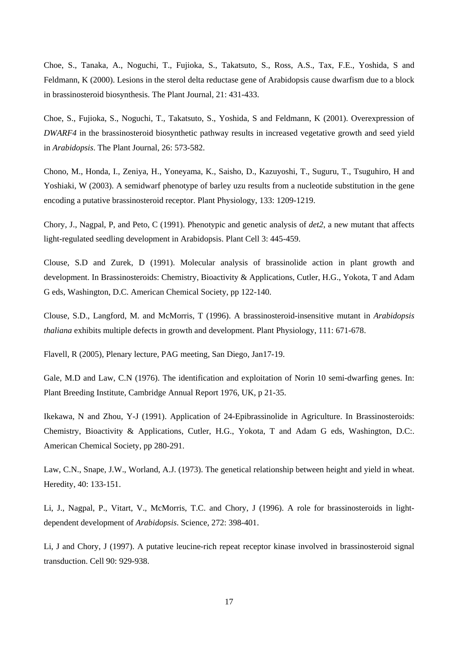Choe, S., Tanaka, A., Noguchi, T., Fujioka, S., Takatsuto, S., Ross, A.S., Tax, F.E., Yoshida, S and Feldmann, K (2000). Lesions in the sterol delta reductase gene of Arabidopsis cause dwarfism due to a block in brassinosteroid biosynthesis. The Plant Journal, 21: 431-433.

Choe, S., Fujioka, S., Noguchi, T., Takatsuto, S., Yoshida, S and Feldmann, K (2001). Overexpression of *DWARF4* in the brassinosteroid biosynthetic pathway results in increased vegetative growth and seed yield in *Arabidopsis*. The Plant Journal, 26: 573-582.

Chono, M., Honda, I., Zeniya, H., Yoneyama, K., Saisho, D., Kazuyoshi, T., Suguru, T., Tsuguhiro, H and Yoshiaki, W (2003). A semidwarf phenotype of barley uzu results from a nucleotide substitution in the gene encoding a putative brassinosteroid receptor. Plant Physiology, 133: 1209-1219.

Chory, J., Nagpal, P, and Peto, C (1991). Phenotypic and genetic analysis of *det2*, a new mutant that affects light-regulated seedling development in Arabidopsis. Plant Cell 3: 445-459.

development. In Brassinosteroids: Chemistry, Bioactivity & Applications, Cutler, H.G., Yokota, T and Adam G eds, Washington, D.C. American Chemical Society, pp 122-140. Clouse, S.D and Zurek, D (1991). Molecular analysis of brassinolide action in plant growth and

*thaliana* exhibits multiple defects in growth and development. Plant Physiology, 111: 671-678. Clouse, S.D., Langford, M. and McMorris, T (1996). A brassinosteroid-insensitive mutant in *Arabidopsis* 

Flavell, R (2005), Plenary lecture, PAG meeting, San Diego, Jan17-19.

Gale, M.D and Law, C.N (1976). The identification and exploitation of Norin 10 semi-dwarfing genes. In: Plant Breeding Institute, Cambridge Annual Report 1976, UK, p 21-35.

Chemistry, Bioactivity & Applications, Cutler, H.G., Yokota, T and Adam G eds, Washington, D.C.. American Chemical Society, pp 280-291. Ikekawa, N and Zhou, Y-J (1991). Application of 24-Epibrassinolide in Agriculture. In Brassinosteroids:

Law, C.N., Snape, J.W., Worland, A.J. (1973). The genetical relationship between height and yield in wheat. Heredity, 40: 133-151.

Li, J., Nagpal, P., Vitart, V., McMorris, T.C. and Chory, J (1996). A role for brassinosteroids in lightdependent development of *Arabidopsis*. Science, 272: 398-401.

Li, J and Chory, J (1997). A putative leucine-rich repeat receptor kinase involved in brassinosteroid signal transduction. Cell 90: 929-938.